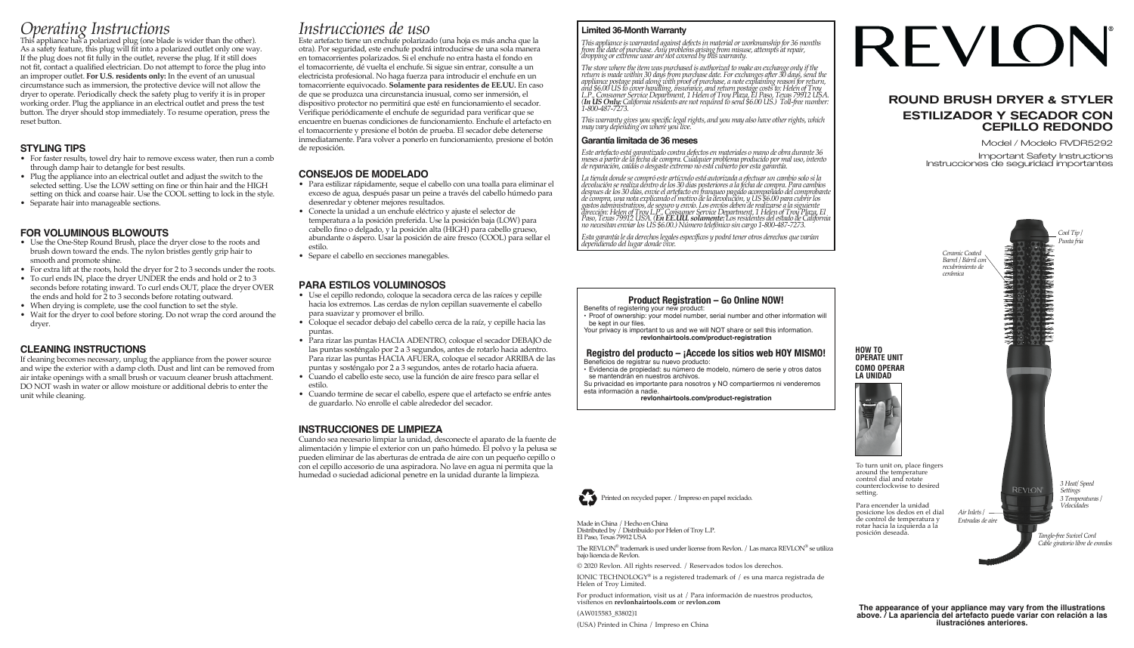# *Operating Instructions* This appliance has a polarized plug (one blade is wider than the other).

As a safety feature, this plug will fit into a polarized outlet only one way. If the plug does not fit fully in the outlet, reverse the plug. If it still does not fit, contact a qualified electrician. Do not attempt to force the plug into an improper outlet. **For U.S. residents only:** In the event of an unusual circumstance such as immersion, the protective device will not allow the dryer to operate. Periodically check the safety plug to verify it is in proper working order. Plug the appliance in an electrical outlet and press the test button. The dryer should stop immediately. To resume operation, press the reset button.

#### **STYLING TIPS**

- For faster results, towel dry hair to remove excess water, then run a comb through damp hair to detangle for best results.
- Plug the appliance into an electrical outlet and adjust the switch to the selected setting. Use the LOW setting on fine or thin hair and the HIGH setting on thick and coarse hair. Use the COOL setting to lock in the style.
- Separate hair into manageable sections.

#### **FOR VOLUMINOUS BLOWOUTS**

- Use the One-Step Round Brush, place the dryer close to the roots and brush down toward the ends. The nylon bristles gently grip hair to smooth and promote shine.
- For extra lift at the roots, hold the dryer for 2 to 3 seconds under the roots.
- To curl ends IN, place the dryer UNDER the ends and hold or 2 to 3 seconds before rotating inward. To curl ends OUT, place the dryer OVER the ends and hold for 2 to 3 seconds before rotating outward.
- When drying is complete, use the cool function to set the style.
- Wait for the dryer to cool before storing. Do not wrap the cord around the dryer.

#### **CLEANING INSTRUCTIONS**

If cleaning becomes necessary, unplug the appliance from the power source and wipe the exterior with a damp cloth. Dust and lint can be removed from air intake openings with a small brush or vacuum cleaner brush attachment. DO NOT wash in water or allow moisture or additional debris to enter the unit while cleaning.

## *Instrucciones de uso*

Este artefacto tiene un enchufe polarizado (una hoja es más ancha que la otra). Por seguridad, este enchufe podrá introducirse de una sola manera en tomacorrientes polarizados. Si el enchufe no entra hasta el fondo en el tomacorriente, dé vuelta el enchufe. Si sigue sin entrar, consulte a un electricista profesional. No haga fuerza para introducir el enchufe en un tomacorriente equivocado. **Solamente para residentes de EE.UU.** En caso de que se produzca una circunstancia inusual, como ser inmersión, el dispositivo protector no permitirá que esté en funcionamiento el secador. Verifique periódicamente el enchufe de seguridad para verificar que se encuentre en buenas condiciones de funcionamiento. Enchufe el artefacto en el tomacorriente y presione el botón de prueba. El secador debe detenerse inmediatamente. Para volver a ponerlo en funcionamiento, presione el botón de reposición.

#### **CONSEJOS DE MODELADO**

- Para estilizar rápidamente, seque el cabello con una toalla para eliminar el exceso de agua, después pasar un peine a través del cabello húmedo para desenredar y obtener mejores resultados.
- Conecte la unidad a un enchufe eléctrico y ajuste el selector de temperatura a la posición preferida. Use la posición baja (LOW) para cabello fino o delgado, y la posición alta (HIGH) para cabello grueso, abundante o áspero. Usar la posición de aire fresco (COOL) para sellar el estilo.
- Separe el cabello en secciones manegables.

#### **PARA ESTILOS VOLUMINOSOS**

- Use el cepillo redondo, coloque la secadora cerca de las raíces y cepille hacia los extremos. Las cerdas de nylon cepillan suavemente el cabello para suavizar y promover el brillo.
- Coloque el secador debajo del cabello cerca de la raíz, y cepille hacia las puntas.
- Para rizar las puntas HACIA ADENTRO, coloque el secador DEBAJO de las puntas sosténgalo por 2 a 3 segundos, antes de rotarlo hacia adentro. Para rizar las puntas HACIA AFUERA, coloque el secador ARRIBA de las puntas y sosténgalo por 2 a 3 segundos, antes de rotarlo hacia afuera.
- Cuando el cabello este seco, use la función de aire fresco para sellar el estilo.
- Cuando termine de secar el cabello, espere que el artefacto se enfríe antes de guardarlo. No enrolle el cable alrededor del secador.

#### **INSTRUCCIONES DE LIMPIEZA**

Cuando sea necesario limpiar la unidad, desconecte el aparato de la fuente de alimentación y limpie el exterior con un paño húmedo. El polvo y la pelusa se pueden eliminar de las aberturas de entrada de aire con un pequeño cepillo o con el cepillo accesorio de una aspiradora. No lave en agua ni permita que la humedad o suciedad adicional penetre en la unidad durante la limpieza.

#### **Limited 36-Month Warranty**

This appliance is warranted against defects in material or workmanship for 36 months<br>from the date of purchase. Any problems arising from misuse, attempts at repair,<br>dropping or extreme wear are not covered by this warrant

*The store where the item was purchased is authorized to make an exchange only if the*  return is made within 30 days from purchase date. For exchanges after 30 days, send the<br>appliance postage paid along with proof of purchase, a note explaining reason for return,<br>and \$6.00 US to cover handling, insurance, a

*This warranty gives you specific legal rights, and you may also have other rights, which may vary depending on where you live.*

#### **Garantía limitada de 36 meses**

*Este artefacto está garantizado contra defectos en materiales o mano de obra durante 36*  meses a partir de la fecha de compra. Cualquier problema producido por mal uso, intento<br>de reparación, caídas o desgaste extremo no está cubierto por esta garantía.

*La tienda donde se compró este artícvulo está autorizada a efectuar un cambio solo si la devolución se realiza dentro de los 30 dias posteriores a la fecha de compra. Para cambios*  despues de los 30 días, envie el artefacto en franqueo pagado acompañado del comprobante<br>de compra, una nota explicando el motivo de la devolución, y US \$6.00 para cubrir los<br>gastos administrativos, de seguro y envió. Los

*Esta garantía le da derechos legales específicos y podrá tener otros derechos que varían dependiendo del lugar donde vive.*



• Proof of ownership: your model number, serial number and other information will be kept in our files.

Your privacy is important to us and we will NOT share or sell this information. **revlonhairtools.com/product-registration**

#### **Registro del producto – ¡Accede los sitios web HOY MISMO!** Beneficios de registrar su nuevo producto:

• Evidencia de propiedad: su número de modelo, número de serie y otros datos se mantendrán en nuestros archivos.

Su privacidad es importante para nosotros y NO compartiermos ni venderemos esta información a nadie.

**revlonhairtools.com/product-registration**

Printed on recycled paper. / Impreso en papel reciclado.

# REVION

#### ROUND BRUSH DRYER & STYLER ESTILIZADOR Y SECADOR CON CEPILLO REDONDO

Model / Modelo RVDR5292

Important Safety Instructions Instrucciones de seguridad importantes



The REVLON® trademark is used under license from Revlon. / Las marca REVLON® se utiliza bajo licencia de Revlon. © 2020 Revlon. All rights reserved. / Reservados todos los derechos.

IONIC TECHNOLOGY® is a registered trademark of / es una marca registrada de Helen of Troy Limited.

For product information, visit us at / Para información de nuestros productos, visítenos en **revlonhairtools.com** or **revlon.com**

(AW015583\_83802)1 (USA) Printed in China / Impreso en China

Made in China / Hecho en China

El Paso, Texas 79912 USA

Distributed by / Distribuido por Helen of Troy L.P.

**The appearance of your appliance may vary from the illustrations above. / La apariencia del artefacto puede variar con relación a las ilustraciónes anteriores.**